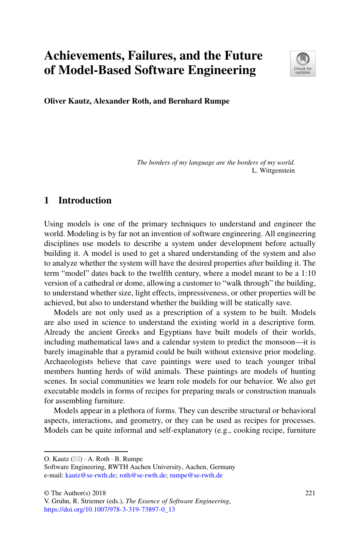# **Achievements, Failures, and the Future of Model-Based Software Engineering**



**Oliver Kautz, Alexander Roth, and Bernhard Rumpe**

*The borders of my language are the borders of my world.* L. Wittgenstein

### **1 Introduction**

Using models is one of the primary techniques to understand and engineer the world. Modeling is by far not an invention of software engineering. All engineering disciplines use models to describe a system under development before actually building it. A model is used to get a shared understanding of the system and also to analyze whether the system will have the desired properties after building it. The term "model" dates back to the twelfth century, where a model meant to be a 1:10 version of a cathedral or dome, allowing a customer to "walk through" the building, to understand whether size, light effects, impressiveness, or other properties will be achieved, but also to understand whether the building will be statically save.

Models are not only used as a prescription of a system to be built. Models are also used in science to understand the existing world in a descriptive form. Already the ancient Greeks and Egyptians have built models of their worlds, including mathematical laws and a calendar system to predict the monsoon—it is barely imaginable that a pyramid could be built without extensive prior modeling. Archaeologists believe that cave paintings were used to teach younger tribal members hunting herds of wild animals. These paintings are models of hunting scenes. In social communities we learn role models for our behavior. We also get executable models in forms of recipes for preparing meals or construction manuals for assembling furniture.

Models appear in a plethora of forms. They can describe structural or behavioral aspects, interactions, and geometry, or they can be used as recipes for processes. Models can be quite informal and self-explanatory (e.g., cooking recipe, furniture

O. Kautz  $(\boxtimes) \cdot A$ . Roth  $\cdot B$ . Rumpe

Software Engineering, RWTH Aachen University, Aachen, Germany e-mail: [kautz@se-rwth.de;](mailto:kautz@se-rwth.de) [roth@se-rwth.de;](mailto:roth@se-rwth.de) [rumpe@se-rwth.de](mailto:rumpe@se-rwth.de)

V. Gruhn, R. Striemer (eds.), *The Essence of Software Engineering*, [https://doi.org/10.1007/978-3-319-73897-0\\_13](https://doi.org/10.1007/978-3-319-73897-0_13)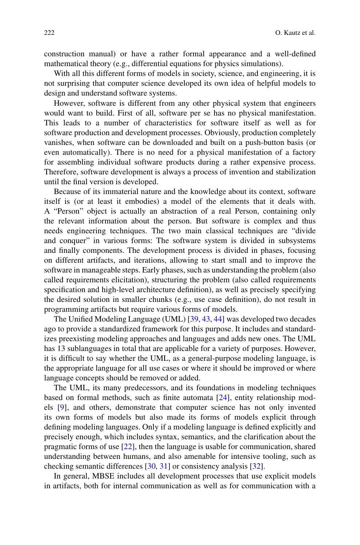construction manual) or have a rather formal appearance and a well-defined mathematical theory (e.g., differential equations for physics simulations).

With all this different forms of models in society, science, and engineering, it is not surprising that computer science developed its own idea of helpful models to design and understand software systems.

However, software is different from any other physical system that engineers would want to build. First of all, software per se has no physical manifestation. This leads to a number of characteristics for software itself as well as for software production and development processes. Obviously, production completely vanishes, when software can be downloaded and built on a push-button basis (or even automatically). There is no need for a physical manifestation of a factory for assembling individual software products during a rather expensive process. Therefore, software development is always a process of invention and stabilization until the final version is developed.

Because of its immaterial nature and the knowledge about its context, software itself is (or at least it embodies) a model of the elements that it deals with. A "Person" object is actually an abstraction of a real Person, containing only the relevant information about the person. But software is complex and thus needs engineering techniques. The two main classical techniques are "divide and conquer" in various forms: The software system is divided in subsystems and finally components. The development process is divided in phases, focusing on different artifacts, and iterations, allowing to start small and to improve the software in manageable steps. Early phases, such as understanding the problem (also called requirements elicitation), structuring the problem (also called requirements specification and high-level architecture definition), as well as precisely specifying the desired solution in smaller chunks (e.g., use case definition), do not result in programming artifacts but require various forms of models.

The Unified Modeling Language (UML) [\[39,](#page-14-0) [43,](#page-14-1) [44\]](#page-14-2) was developed two decades ago to provide a standardized framework for this purpose. It includes and standardizes preexisting modeling approaches and languages and adds new ones. The UML has 13 sublanguages in total that are applicable for a variety of purposes. However, it is difficult to say whether the UML, as a general-purpose modeling language, is the appropriate language for all use cases or where it should be improved or where language concepts should be removed or added.

The UML, its many predecessors, and its foundations in modeling techniques based on formal methods, such as finite automata [\[24\]](#page-13-0), entity relationship models [\[9\]](#page-13-1), and others, demonstrate that computer science has not only invented its own forms of models but also made its forms of models explicit through defining modeling languages. Only if a modeling language is defined explicitly and precisely enough, which includes syntax, semantics, and the clarification about the pragmatic forms of use [\[22\]](#page-13-2), then the language is usable for communication, shared understanding between humans, and also amenable for intensive tooling, such as checking semantic differences [\[30,](#page-14-3) [31\]](#page-14-4) or consistency analysis [\[32\]](#page-14-5).

In general, MBSE includes all development processes that use explicit models in artifacts, both for internal communication as well as for communication with a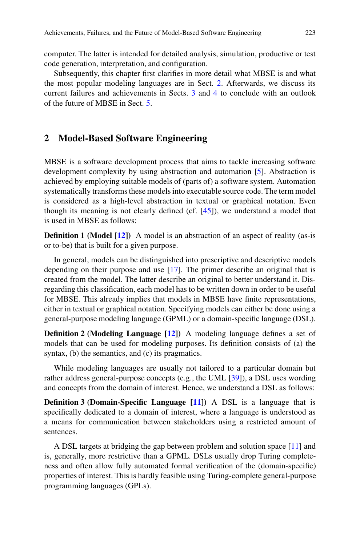computer. The latter is intended for detailed analysis, simulation, productive or test code generation, interpretation, and configuration.

Subsequently, this chapter first clarifies in more detail what MBSE is and what the most popular modeling languages are in Sect. [2.](#page-2-0) Afterwards, we discuss its current failures and achievements in Sects. [3](#page-7-0) and [4](#page-9-0) to conclude with an outlook of the future of MBSE in Sect. [5.](#page-11-0)

#### <span id="page-2-0"></span>**2 Model-Based Software Engineering**

MBSE is a software development process that aims to tackle increasing software development complexity by using abstraction and automation [\[5\]](#page-12-0). Abstraction is achieved by employing suitable models of (parts of) a software system. Automation systematically transforms these models into executable source code. The term model is considered as a high-level abstraction in textual or graphical notation. Even though its meaning is not clearly defined (cf. [\[45\]](#page-14-6)), we understand a model that is used in MBSE as follows:

**Definition 1 (Model [\[12\]](#page-13-3))** A model is an abstraction of an aspect of reality (as-is or to-be) that is built for a given purpose.

In general, models can be distinguished into prescriptive and descriptive models depending on their purpose and use [\[17\]](#page-13-4). The primer describe an original that is created from the model. The latter describe an original to better understand it. Disregarding this classification, each model has to be written down in order to be useful for MBSE. This already implies that models in MBSE have finite representations, either in textual or graphical notation. Specifying models can either be done using a general-purpose modeling language (GPML) or a domain-specific language (DSL).

**Definition 2 (Modeling Language [\[12\]](#page-13-3))** A modeling language defines a set of models that can be used for modeling purposes. Its definition consists of (a) the syntax, (b) the semantics, and (c) its pragmatics.

While modeling languages are usually not tailored to a particular domain but rather address general-purpose concepts (e.g., the UML [\[39\]](#page-14-0)), a DSL uses wording and concepts from the domain of interest. Hence, we understand a DSL as follows:

**Definition 3 (Domain-Specific Language [\[11\]](#page-13-5))** A DSL is a language that is specifically dedicated to a domain of interest, where a language is understood as a means for communication between stakeholders using a restricted amount of sentences.

A DSL targets at bridging the gap between problem and solution space [\[11\]](#page-13-5) and is, generally, more restrictive than a GPML. DSLs usually drop Turing completeness and often allow fully automated formal verification of the (domain-specific) properties of interest. This is hardly feasible using Turing-complete general-purpose programming languages (GPLs).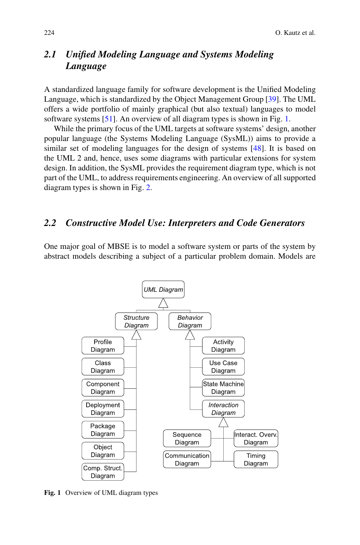## *2.1 Unified Modeling Language and Systems Modeling Language*

A standardized language family for software development is the Unified Modeling Language, which is standardized by the Object Management Group [\[39\]](#page-14-0). The UML offers a wide portfolio of mainly graphical (but also textual) languages to model software systems [\[51\]](#page-15-0). An overview of all diagram types is shown in Fig. [1.](#page-3-0)

While the primary focus of the UML targets at software systems' design, another popular language (the Systems Modeling Language (SysML)) aims to provide a similar set of modeling languages for the design of systems [\[48\]](#page-14-7). It is based on the UML 2 and, hence, uses some diagrams with particular extensions for system design. In addition, the SysML provides the requirement diagram type, which is not part of the UML, to address requirements engineering. An overview of all supported diagram types is shown in Fig. [2.](#page-4-0)

#### <span id="page-3-1"></span>*2.2 Constructive Model Use: Interpreters and Code Generators*

One major goal of MBSE is to model a software system or parts of the system by abstract models describing a subject of a particular problem domain. Models are



<span id="page-3-0"></span>**Fig. 1** Overview of UML diagram types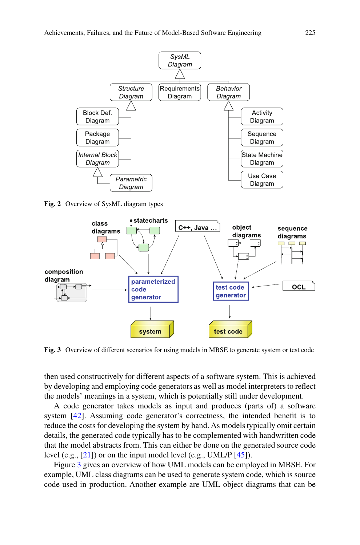

<span id="page-4-0"></span>**Fig. 2** Overview of SysML diagram types



<span id="page-4-1"></span>**Fig. 3** Overview of different scenarios for using models in MBSE to generate system or test code

then used constructively for different aspects of a software system. This is achieved by developing and employing code generators as well as model interpreters to reflect the models' meanings in a system, which is potentially still under development.

A code generator takes models as input and produces (parts of) a software system [\[42\]](#page-14-8). Assuming code generator's correctness, the intended benefit is to reduce the costs for developing the system by hand. As models typically omit certain details, the generated code typically has to be complemented with handwritten code that the model abstracts from. This can either be done on the generated source code level (e.g., [\[21\]](#page-13-6)) or on the input model level (e.g., UML/P [\[45\]](#page-14-6)).

Figure [3](#page-4-1) gives an overview of how UML models can be employed in MBSE. For example, UML class diagrams can be used to generate system code, which is source code used in production. Another example are UML object diagrams that can be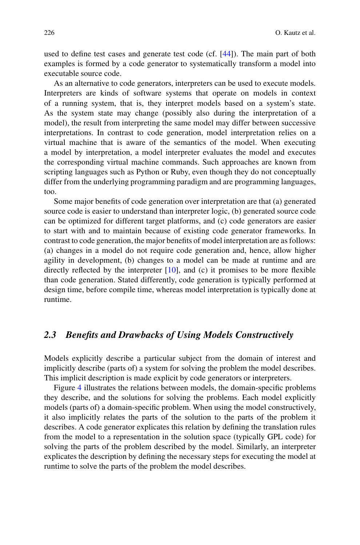used to define test cases and generate test code (cf. [\[44\]](#page-14-2)). The main part of both examples is formed by a code generator to systematically transform a model into executable source code.

As an alternative to code generators, interpreters can be used to execute models. Interpreters are kinds of software systems that operate on models in context of a running system, that is, they interpret models based on a system's state. As the system state may change (possibly also during the interpretation of a model), the result from interpreting the same model may differ between successive interpretations. In contrast to code generation, model interpretation relies on a virtual machine that is aware of the semantics of the model. When executing a model by interpretation, a model interpreter evaluates the model and executes the corresponding virtual machine commands. Such approaches are known from scripting languages such as Python or Ruby, even though they do not conceptually differ from the underlying programming paradigm and are programming languages, too.

Some major benefits of code generation over interpretation are that (a) generated source code is easier to understand than interpreter logic, (b) generated source code can be optimized for different target platforms, and (c) code generators are easier to start with and to maintain because of existing code generator frameworks. In contrast to code generation, the major benefits of model interpretation are as follows: (a) changes in a model do not require code generation and, hence, allow higher agility in development, (b) changes to a model can be made at runtime and are directly reflected by the interpreter  $[10]$ , and  $(c)$  it promises to be more flexible than code generation. Stated differently, code generation is typically performed at design time, before compile time, whereas model interpretation is typically done at runtime.

#### <span id="page-5-0"></span>*2.3 Benefits and Drawbacks of Using Models Constructively*

Models explicitly describe a particular subject from the domain of interest and implicitly describe (parts of) a system for solving the problem the model describes. This implicit description is made explicit by code generators or interpreters.

Figure [4](#page-6-0) illustrates the relations between models, the domain-specific problems they describe, and the solutions for solving the problems. Each model explicitly models (parts of) a domain-specific problem. When using the model constructively, it also implicitly relates the parts of the solution to the parts of the problem it describes. A code generator explicates this relation by defining the translation rules from the model to a representation in the solution space (typically GPL code) for solving the parts of the problem described by the model. Similarly, an interpreter explicates the description by defining the necessary steps for executing the model at runtime to solve the parts of the problem the model describes.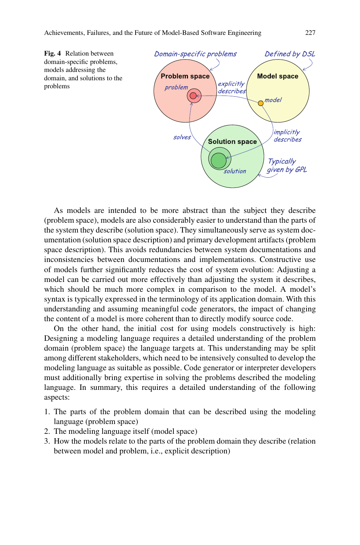<span id="page-6-0"></span>

As models are intended to be more abstract than the subject they describe (problem space), models are also considerably easier to understand than the parts of the system they describe (solution space). They simultaneously serve as system documentation (solution space description) and primary development artifacts (problem space description). This avoids redundancies between system documentations and inconsistencies between documentations and implementations. Constructive use of models further significantly reduces the cost of system evolution: Adjusting a model can be carried out more effectively than adjusting the system it describes, which should be much more complex in comparison to the model. A model's syntax is typically expressed in the terminology of its application domain. With this understanding and assuming meaningful code generators, the impact of changing the content of a model is more coherent than to directly modify source code.

On the other hand, the initial cost for using models constructively is high: Designing a modeling language requires a detailed understanding of the problem domain (problem space) the language targets at. This understanding may be split among different stakeholders, which need to be intensively consulted to develop the modeling language as suitable as possible. Code generator or interpreter developers must additionally bring expertise in solving the problems described the modeling language. In summary, this requires a detailed understanding of the following aspects:

- 1. The parts of the problem domain that can be described using the modeling language (problem space)
- 2. The modeling language itself (model space)
- 3. How the models relate to the parts of the problem domain they describe (relation between model and problem, i.e., explicit description)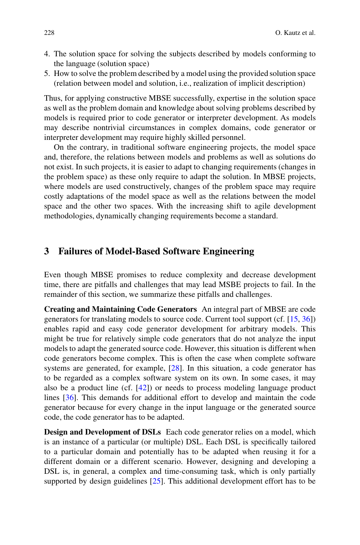- 4. The solution space for solving the subjects described by models conforming to the language (solution space)
- 5. How to solve the problem described by a model using the provided solution space (relation between model and solution, i.e., realization of implicit description)

Thus, for applying constructive MBSE successfully, expertise in the solution space as well as the problem domain and knowledge about solving problems described by models is required prior to code generator or interpreter development. As models may describe nontrivial circumstances in complex domains, code generator or interpreter development may require highly skilled personnel.

On the contrary, in traditional software engineering projects, the model space and, therefore, the relations between models and problems as well as solutions do not exist. In such projects, it is easier to adapt to changing requirements (changes in the problem space) as these only require to adapt the solution. In MBSE projects, where models are used constructively, changes of the problem space may require costly adaptations of the model space as well as the relations between the model space and the other two spaces. With the increasing shift to agile development methodologies, dynamically changing requirements become a standard.

#### <span id="page-7-0"></span>**3 Failures of Model-Based Software Engineering**

Even though MBSE promises to reduce complexity and decrease development time, there are pitfalls and challenges that may lead MSBE projects to fail. In the remainder of this section, we summarize these pitfalls and challenges.

**Creating and Maintaining Code Generators** An integral part of MBSE are code generators for translating models to source code. Current tool support (cf. [\[15,](#page-13-8) [36\]](#page-14-9)) enables rapid and easy code generator development for arbitrary models. This might be true for relatively simple code generators that do not analyze the input models to adapt the generated source code. However, this situation is different when code generators become complex. This is often the case when complete software systems are generated, for example, [\[28\]](#page-13-9). In this situation, a code generator has to be regarded as a complex software system on its own. In some cases, it may also be a product line (cf. [\[42\]](#page-14-8)) or needs to process modeling language product lines [\[36\]](#page-14-9). This demands for additional effort to develop and maintain the code generator because for every change in the input language or the generated source code, the code generator has to be adapted.

**Design and Development of DSLs** Each code generator relies on a model, which is an instance of a particular (or multiple) DSL. Each DSL is specifically tailored to a particular domain and potentially has to be adapted when reusing it for a different domain or a different scenario. However, designing and developing a DSL is, in general, a complex and time-consuming task, which is only partially supported by design guidelines  $[25]$ . This additional development effort has to be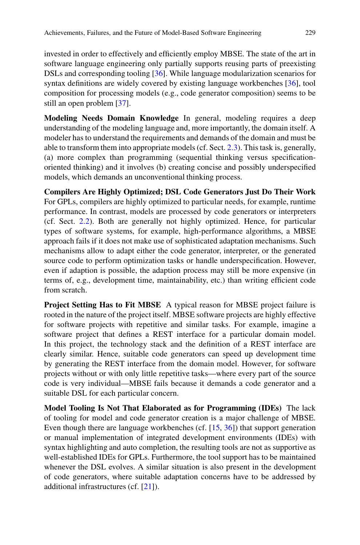invested in order to effectively and efficiently employ MBSE. The state of the art in software language engineering only partially supports reusing parts of preexisting DSLs and corresponding tooling [\[36\]](#page-14-9). While language modularization scenarios for syntax definitions are widely covered by existing language workbenches [\[36\]](#page-14-9), tool composition for processing models (e.g., code generator composition) seems to be still an open problem [\[37\]](#page-14-10).

**Modeling Needs Domain Knowledge** In general, modeling requires a deep understanding of the modeling language and, more importantly, the domain itself. A modeler has to understand the requirements and demands of the domain and must be able to transform them into appropriate models (cf. Sect. [2.3\)](#page-5-0). This task is, generally, (a) more complex than programming (sequential thinking versus specificationoriented thinking) and it involves (b) creating concise and possibly underspecified models, which demands an unconventional thinking process.

**Compilers Are Highly Optimized; DSL Code Generators Just Do Their Work** For GPLs, compilers are highly optimized to particular needs, for example, runtime performance. In contrast, models are processed by code generators or interpreters (cf. Sect. [2.2\)](#page-3-1). Both are generally not highly optimized. Hence, for particular types of software systems, for example, high-performance algorithms, a MBSE approach fails if it does not make use of sophisticated adaptation mechanisms. Such mechanisms allow to adapt either the code generator, interpreter, or the generated source code to perform optimization tasks or handle underspecification. However, even if adaption is possible, the adaption process may still be more expensive (in terms of, e.g., development time, maintainability, etc.) than writing efficient code from scratch.

**Project Setting Has to Fit MBSE** A typical reason for MBSE project failure is rooted in the nature of the project itself. MBSE software projects are highly effective for software projects with repetitive and similar tasks. For example, imagine a software project that defines a REST interface for a particular domain model. In this project, the technology stack and the definition of a REST interface are clearly similar. Hence, suitable code generators can speed up development time by generating the REST interface from the domain model. However, for software projects without or with only little repetitive tasks—where every part of the source code is very individual—MBSE fails because it demands a code generator and a suitable DSL for each particular concern.

**Model Tooling Is Not That Elaborated as for Programming (IDEs)** The lack of tooling for model and code generator creation is a major challenge of MBSE. Even though there are language workbenches (cf. [\[15,](#page-13-8) [36\]](#page-14-9)) that support generation or manual implementation of integrated development environments (IDEs) with syntax highlighting and auto completion, the resulting tools are not as supportive as well-established IDEs for GPLs. Furthermore, the tool support has to be maintained whenever the DSL evolves. A similar situation is also present in the development of code generators, where suitable adaptation concerns have to be addressed by additional infrastructures (cf. [\[21\]](#page-13-6)).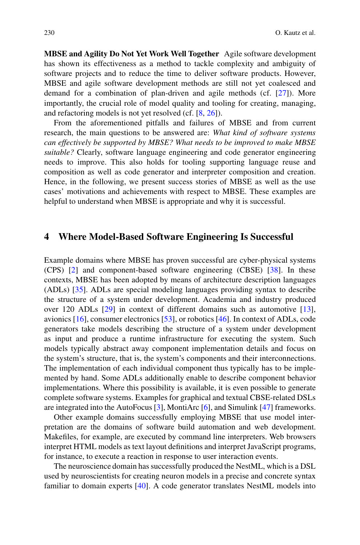**MBSE and Agility Do Not Yet Work Well Together** Agile software development has shown its effectiveness as a method to tackle complexity and ambiguity of software projects and to reduce the time to deliver software products. However, MBSE and agile software development methods are still not yet coalesced and demand for a combination of plan-driven and agile methods (cf. [\[27\]](#page-13-11)). More importantly, the crucial role of model quality and tooling for creating, managing, and refactoring models is not yet resolved (cf. [\[8,](#page-12-1) [26\]](#page-13-12)).

From the aforementioned pitfalls and failures of MBSE and from current research, the main questions to be answered are: *What kind of software systems can effectively be supported by MBSE? What needs to be improved to make MBSE suitable?* Clearly, software language engineering and code generator engineering needs to improve. This also holds for tooling supporting language reuse and composition as well as code generator and interpreter composition and creation. Hence, in the following, we present success stories of MBSE as well as the use cases' motivations and achievements with respect to MBSE. These examples are helpful to understand when MBSE is appropriate and why it is successful.

#### <span id="page-9-0"></span>**4 Where Model-Based Software Engineering Is Successful**

Example domains where MBSE has proven successful are cyber-physical systems (CPS) [\[2\]](#page-12-2) and component-based software engineering (CBSE) [\[38\]](#page-14-11). In these contexts, MBSE has been adopted by means of architecture description languages (ADLs) [\[35\]](#page-14-12). ADLs are special modeling languages providing syntax to describe the structure of a system under development. Academia and industry produced over 120 ADLs [\[29\]](#page-14-13) in context of different domains such as automotive [\[13\]](#page-13-13), avionics [\[16\]](#page-13-14), consumer electronics [\[53\]](#page-15-1), or robotics [\[46\]](#page-14-14). In context of ADLs, code generators take models describing the structure of a system under development as input and produce a runtime infrastructure for executing the system. Such models typically abstract away component implementation details and focus on the system's structure, that is, the system's components and their interconnections. The implementation of each individual component thus typically has to be implemented by hand. Some ADLs additionally enable to describe component behavior implementations. Where this possibility is available, it is even possible to generate complete software systems. Examples for graphical and textual CBSE-related DSLs are integrated into the AutoFocus [\[3\]](#page-12-3), MontiArc [\[6\]](#page-12-4), and Simulink [\[47\]](#page-14-15) frameworks.

Other example domains successfully employing MBSE that use model interpretation are the domains of software build automation and web development. Makefiles, for example, are executed by command line interpreters. Web browsers interpret HTML models as text layout definitions and interpret JavaScript programs, for instance, to execute a reaction in response to user interaction events.

The neuroscience domain has successfully produced the NestML, which is a DSL used by neuroscientists for creating neuron models in a precise and concrete syntax familiar to domain experts [\[40\]](#page-14-16). A code generator translates NestML models into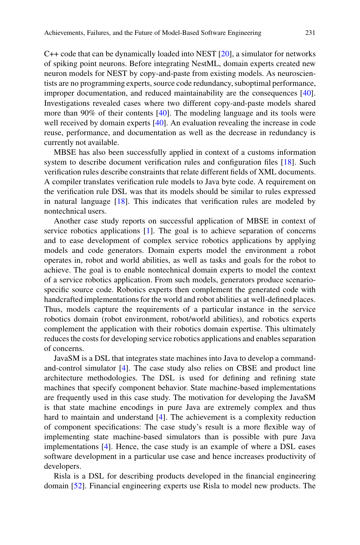C++ code that can be dynamically loaded into NEST [\[20\]](#page-13-15), a simulator for networks of spiking point neurons. Before integrating NestML, domain experts created new neuron models for NEST by copy-and-paste from existing models. As neuroscientists are no programming experts, source code redundancy, suboptimal performance, improper documentation, and reduced maintainability are the consequences [\[40\]](#page-14-16). Investigations revealed cases where two different copy-and-paste models shared more than 90% of their contents [\[40\]](#page-14-16). The modeling language and its tools were well received by domain experts [\[40\]](#page-14-16). An evaluation revealing the increase in code reuse, performance, and documentation as well as the decrease in redundancy is currently not available.

MBSE has also been successfully applied in context of a customs information system to describe document verification rules and configuration files [\[18\]](#page-13-16). Such verification rules describe constraints that relate different fields of XML documents. A compiler translates verification rule models to Java byte code. A requirement on the verification rule DSL was that its models should be similar to rules expressed in natural language [\[18\]](#page-13-16). This indicates that verification rules are modeled by nontechnical users.

Another case study reports on successful application of MBSE in context of service robotics applications [\[1\]](#page-12-5). The goal is to achieve separation of concerns and to ease development of complex service robotics applications by applying models and code generators. Domain experts model the environment a robot operates in, robot and world abilities, as well as tasks and goals for the robot to achieve. The goal is to enable nontechnical domain experts to model the context of a service robotics application. From such models, generators produce scenariospecific source code. Robotics experts then complement the generated code with handcrafted implementations for the world and robot abilities at well-defined places. Thus, models capture the requirements of a particular instance in the service robotics domain (robot environment, robot/world abilities), and robotics experts complement the application with their robotics domain expertise. This ultimately reduces the costs for developing service robotics applications and enables separation of concerns.

JavaSM is a DSL that integrates state machines into Java to develop a commandand-control simulator [\[4\]](#page-12-6). The case study also relies on CBSE and product line architecture methodologies. The DSL is used for defining and refining state machines that specify component behavior. State machine-based implementations are frequently used in this case study. The motivation for developing the JavaSM is that state machine encodings in pure Java are extremely complex and thus hard to maintain and understand  $[4]$ . The achievement is a complexity reduction of component specifications: The case study's result is a more flexible way of implementing state machine-based simulators than is possible with pure Java implementations [\[4\]](#page-12-6). Hence, the case study is an example of where a DSL eases software development in a particular use case and hence increases productivity of developers.

Risla is a DSL for describing products developed in the financial engineering domain [\[52\]](#page-15-2). Financial engineering experts use Risla to model new products. The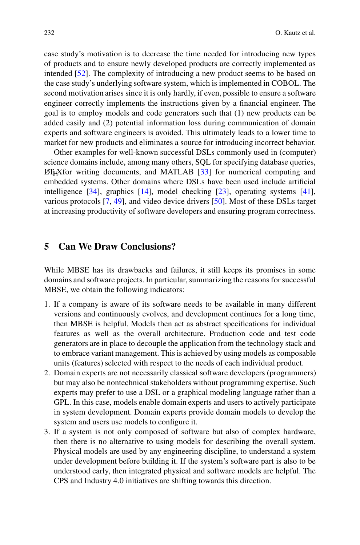case study's motivation is to decrease the time needed for introducing new types of products and to ensure newly developed products are correctly implemented as intended [\[52\]](#page-15-2). The complexity of introducing a new product seems to be based on the case study's underlying software system, which is implemented in COBOL. The second motivation arises since it is only hardly, if even, possible to ensure a software engineer correctly implements the instructions given by a financial engineer. The goal is to employ models and code generators such that (1) new products can be added easily and (2) potential information loss during communication of domain experts and software engineers is avoided. This ultimately leads to a lower time to market for new products and eliminates a source for introducing incorrect behavior.

Other examples for well-known successful DSLs commonly used in (computer) science domains include, among many others, SQL for specifying database queries, LATEXfor writing documents, and MATLAB [\[33\]](#page-14-17) for numerical computing and embedded systems. Other domains where DSLs have been used include artificial intelligence [\[34\]](#page-14-18), graphics [\[14\]](#page-13-17), model checking [\[23\]](#page-13-18), operating systems [\[41\]](#page-14-19), various protocols [\[7,](#page-12-7) [49\]](#page-14-20), and video device drivers [\[50\]](#page-14-21). Most of these DSLs target at increasing productivity of software developers and ensuring program correctness.

#### <span id="page-11-0"></span>**5 Can We Draw Conclusions?**

While MBSE has its drawbacks and failures, it still keeps its promises in some domains and software projects. In particular, summarizing the reasons for successful MBSE, we obtain the following indicators:

- 1. If a company is aware of its software needs to be available in many different versions and continuously evolves, and development continues for a long time, then MBSE is helpful. Models then act as abstract specifications for individual features as well as the overall architecture. Production code and test code generators are in place to decouple the application from the technology stack and to embrace variant management. This is achieved by using models as composable units (features) selected with respect to the needs of each individual product.
- 2. Domain experts are not necessarily classical software developers (programmers) but may also be nontechnical stakeholders without programming expertise. Such experts may prefer to use a DSL or a graphical modeling language rather than a GPL. In this case, models enable domain experts and users to actively participate in system development. Domain experts provide domain models to develop the system and users use models to configure it.
- 3. If a system is not only composed of software but also of complex hardware, then there is no alternative to using models for describing the overall system. Physical models are used by any engineering discipline, to understand a system under development before building it. If the system's software part is also to be understood early, then integrated physical and software models are helpful. The CPS and Industry 4.0 initiatives are shifting towards this direction.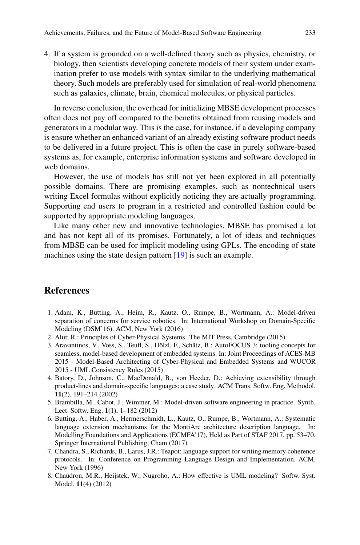4. If a system is grounded on a well-defined theory such as physics, chemistry, or biology, then scientists developing concrete models of their system under examination prefer to use models with syntax similar to the underlying mathematical theory. Such models are preferably used for simulation of real-world phenomena such as galaxies, climate, brain, chemical molecules, or physical particles.

In reverse conclusion, the overhead for initializing MBSE development processes often does not pay off compared to the benefits obtained from reusing models and generators in a modular way. This is the case, for instance, if a developing company is ensure whether an enhanced variant of an already existing software product needs to be delivered in a future project. This is often the case in purely software-based systems as, for example, enterprise information systems and software developed in web domains.

However, the use of models has still not yet been explored in all potentially possible domains. There are promising examples, such as nontechnical users writing Excel formulas without explicitly noticing they are actually programming. Supporting end users to program in a restricted and controlled fashion could be supported by appropriate modeling languages.

Like many other new and innovative technologies, MBSE has promised a lot and has not kept all of its promises. Fortunately, a lot of ideas and techniques from MBSE can be used for implicit modeling using GPLs. The encoding of state machines using the state design pattern [\[19\]](#page-13-19) is such an example.

#### **References**

- <span id="page-12-5"></span>1. Adam, K., Butting, A., Heim, R., Kautz, O., Rumpe, B., Wortmann, A.: Model-driven separation of concerns for service robotics. In: International Workshop on Domain-Specific Modeling (DSM'16). ACM, New York (2016)
- <span id="page-12-2"></span>2. Alur, R.: Principles of Cyber-Physical Systems. The MIT Press, Cambridge (2015)
- <span id="page-12-3"></span>3. Aravantinos, V., Voss, S., Teufl, S., Hölzl, F., Schätz, B.: AutoFOCUS 3: tooling concepts for seamless, model-based development of embedded systems. In: Joint Proceedings of ACES-MB 2015 - Model-Based Architecting of Cyber-Physical and Embedded Systems and WUCOR 2015 - UML Consistency Rules (2015)
- <span id="page-12-6"></span>4. Batory, D., Johnson, C., MacDonald, B., von Heeder, D.: Achieving extensibility through product-lines and domain-specific languages: a case study. ACM Trans. Softw. Eng. Methodol. **11**(2), 191–214 (2002)
- <span id="page-12-0"></span>5. Brambilla, M., Cabot, J., Wimmer, M.: Model-driven software engineering in practice. Synth. Lect. Softw. Eng. **1**(1), 1–182 (2012)
- <span id="page-12-4"></span>6. Butting, A., Haber, A., Hermerschmidt, L., Kautz, O., Rumpe, B., Wortmann, A.: Systematic language extension mechanisms for the MontiArc architecture description language. In: Modelling Foundations and Applications (ECMFA'17), Held as Part of STAF 2017, pp. 53–70. Springer International Publishing, Cham (2017)
- <span id="page-12-7"></span>7. Chandra, S., Richards, B., Larus, J.R.: Teapot: language support for writing memory coherence protocols. In: Conference on Programming Language Design and Implementation. ACM, New York (1996)
- <span id="page-12-1"></span>8. Chaudron, M.R., Heijstek, W., Nugroho, A.: How effective is UML modeling? Softw. Syst. Model. **11**(4) (2012)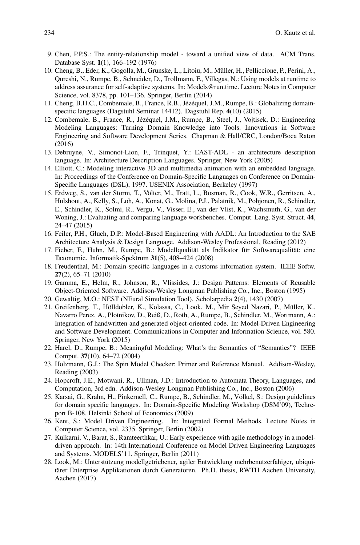- <span id="page-13-1"></span>9. Chen, P.P.S.: The entity-relationship model - toward a unified view of data. ACM Trans. Database Syst. **1**(1), 166–192 (1976)
- <span id="page-13-7"></span>10. Cheng, B., Eder, K., Gogolla, M., Grunske, L., Litoiu, M., Müller, H., Pelliccione, P., Perini, A., Qureshi, N., Rumpe, B., Schneider, D., Trollmann, F., Villegas, N.: Using models at runtime to address assurance for self-adaptive systems. In: Models@run.time. Lecture Notes in Computer Science, vol. 8378, pp. 101–136. Springer, Berlin (2014)
- <span id="page-13-5"></span>11. Cheng, B.H.C., Combemale, B., France, R.B., Jézéquel, J.M., Rumpe, B.: Globalizing domainspecific languages (Dagstuhl Seminar 14412). Dagstuhl Rep. **4**(10) (2015)
- <span id="page-13-3"></span>12. Combemale, B., France, R., Jézéquel, J.M., Rumpe, B., Steel, J., Vojtisek, D.: Engineering Modeling Languages: Turning Domain Knowledge into Tools. Innovations in Software Engineering and Software Development Series. Chapman & Hall/CRC, London/Boca Raton (2016)
- <span id="page-13-13"></span>13. Debruyne, V., Simonot-Lion, F., Trinquet, Y.: EAST-ADL - an architecture description language. In: Architecture Description Languages. Springer, New York (2005)
- <span id="page-13-17"></span>14. Elliott, C.: Modeling interactive 3D and multimedia animation with an embedded language. In: Proceedings of the Conference on Domain-Specific Languages on Conference on Domain-Specific Languages (DSL), 1997. USENIX Association, Berkeley (1997)
- <span id="page-13-8"></span>15. Erdweg, S., van der Storm, T., Völter, M., Tratt, L., Bosman, R., Cook, W.R., Gerritsen, A., Hulshout, A., Kelly, S., Loh, A., Konat, G., Molina, P.J., Palatnik, M., Pohjonen, R., Schindler, E., Schindler, K., Solmi, R., Vergu, V., Visser, E., van der Vlist, K., Wachsmuth, G., van der Woning, J.: Evaluating and comparing language workbenches. Comput. Lang. Syst. Struct. **44**, 24–47 (2015)
- <span id="page-13-14"></span>16. Feiler, P.H., Gluch, D.P.: Model-Based Engineering with AADL: An Introduction to the SAE Architecture Analysis & Design Language. Addison-Wesley Professional, Reading (2012)
- <span id="page-13-4"></span>17. Fieber, F., Huhn, M., Rumpe, B.: Modellqualität als Indikator für Softwarequalität: eine Taxonomie. Informatik-Spektrum **31**(5), 408–424 (2008)
- <span id="page-13-16"></span>18. Freudenthal, M.: Domain-specific languages in a customs information system. IEEE Softw. **27**(2), 65–71 (2010)
- <span id="page-13-19"></span>19. Gamma, E., Helm, R., Johnson, R., Vlissides, J.: Design Patterns: Elements of Reusable Object-Oriented Software. Addison-Wesley Longman Publishing Co., Inc., Boston (1995)
- <span id="page-13-15"></span>20. Gewaltig, M.O.: NEST (NEural Simulation Tool). Scholarpedia **2**(4), 1430 (2007)
- <span id="page-13-6"></span>21. Greifenberg, T., Hölldobler, K., Kolassa, C., Look, M., Mir Seyed Nazari, P., Müller, K., Navarro Perez, A., Plotnikov, D., Reiß, D., Roth, A., Rumpe, B., Schindler, M., Wortmann, A.: Integration of handwritten and generated object-oriented code. In: Model-Driven Engineering and Software Development. Communications in Computer and Information Science, vol. 580. Springer, New York (2015)
- <span id="page-13-2"></span>22. Harel, D., Rumpe, B.: Meaningful Modeling: What's the Semantics of "Semantics"? IEEE Comput. **37**(10), 64–72 (2004)
- <span id="page-13-18"></span>23. Holzmann, G.J.: The Spin Model Checker: Primer and Reference Manual. Addison-Wesley, Reading (2003)
- <span id="page-13-0"></span>24. Hopcroft, J.E., Motwani, R., Ullman, J.D.: Introduction to Automata Theory, Languages, and Computation, 3rd edn. Addison-Wesley Longman Publishing Co., Inc., Boston (2006)
- <span id="page-13-10"></span>25. Karsai, G., Krahn, H., Pinkernell, C., Rumpe, B., Schindler, M., Völkel, S.: Design guidelines for domain specific languages. In: Domain-Specific Modeling Workshop (DSM'09), Techreport B-108. Helsinki School of Economics (2009)
- <span id="page-13-12"></span>26. Kent, S.: Model Driven Engineering. In: Integrated Formal Methods. Lecture Notes in Computer Science, vol. 2335. Springer, Berlin (2002)
- <span id="page-13-11"></span>27. Kulkarni, V., Barat, S., Ramteerthkar, U.: Early experience with agile methodology in a modeldriven approach. In: 14th International Conference on Model Driven Engineering Languages and Systems. MODELS'11. Springer, Berlin (2011)
- <span id="page-13-9"></span>28. Look, M.: Unterstützung modellgetriebener, agiler Entwicklung mehrbenutzerfähiger, ubiquitärer Enterprise Applikationen durch Generatoren. Ph.D. thesis, RWTH Aachen University, Aachen (2017)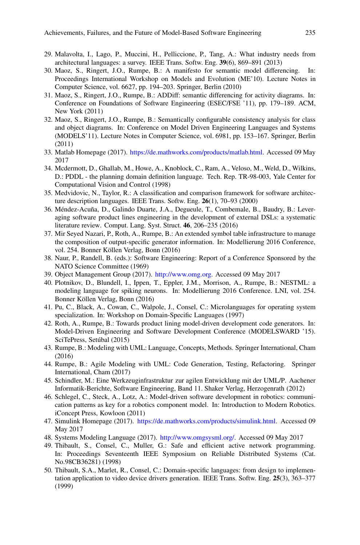- <span id="page-14-13"></span>29. Malavolta, I., Lago, P., Muccini, H., Pelliccione, P., Tang, A.: What industry needs from architectural languages: a survey. IEEE Trans. Softw. Eng. **39**(6), 869–891 (2013)
- <span id="page-14-3"></span>30. Maoz, S., Ringert, J.O., Rumpe, B.: A manifesto for semantic model differencing. In: Proceedings International Workshop on Models and Evolution (ME'10). Lecture Notes in Computer Science, vol. 6627, pp. 194–203. Springer, Berlin (2010)
- <span id="page-14-4"></span>31. Maoz, S., Ringert, J.O., Rumpe, B.: ADDiff: semantic differencing for activity diagrams. In: Conference on Foundations of Software Engineering (ESEC/FSE '11), pp. 179–189. ACM, New York (2011)
- <span id="page-14-5"></span>32. Maoz, S., Ringert, J.O., Rumpe, B.: Semantically configurable consistency analysis for class and object diagrams. In: Conference on Model Driven Engineering Languages and Systems (MODELS'11). Lecture Notes in Computer Science, vol. 6981, pp. 153–167. Springer, Berlin (2011)
- <span id="page-14-17"></span>33. Matlab Homepage (2017). [https://de.mathworks.com/products/matlab.html.](https://de.mathworks.com/products/matlab.html) Accessed 09 May 2017
- <span id="page-14-18"></span>34. Mcdermott, D., Ghallab, M., Howe, A., Knoblock, C., Ram, A., Veloso, M., Weld, D., Wilkins, D.: PDDL - the planning domain definition language. Tech. Rep. TR-98-003, Yale Center for Computational Vision and Control (1998)
- <span id="page-14-12"></span>35. Medvidovic, N., Taylor, R.: A classification and comparison framework for software architecture description languages. IEEE Trans. Softw. Eng. **26**(1), 70–93 (2000)
- <span id="page-14-9"></span>36. Méndez-Acuña, D., Galindo Duarte, J.A., Degueule, T., Combemale, B., Baudry, B.: Leveraging software product lines engineering in the development of external DSLs: a systematic literature review. Comput. Lang. Syst. Struct. **46**, 206–235 (2016)
- <span id="page-14-10"></span>37. Mir Seyed Nazari, P., Roth, A., Rumpe, B.: An extended symbol table infrastructure to manage the composition of output-specific generator information. In: Modellierung 2016 Conference, vol. 254. Bonner Köllen Verlag, Bonn (2016)
- <span id="page-14-11"></span>38. Naur, P., Randell, B. (eds.): Software Engineering: Report of a Conference Sponsored by the NATO Science Committee (1969)
- <span id="page-14-0"></span>39. Object Management Group (2017). [http://www.omg.org.](http://www.omg.org) Accessed 09 May 2017
- <span id="page-14-16"></span>40. Plotnikov, D., Blundell, I., Ippen, T., Eppler, J.M., Morrison, A., Rumpe, B.: NESTML: a modeling language for spiking neurons. In: Modellierung 2016 Conference. LNI, vol. 254. Bonner Köllen Verlag, Bonn (2016)
- <span id="page-14-19"></span>41. Pu, C., Black, A., Cowan, C., Walpole, J., Consel, C.: Microlanguages for operating system specialization. In: Workshop on Domain-Specific Languages (1997)
- <span id="page-14-8"></span>42. Roth, A., Rumpe, B.: Towards product lining model-driven development code generators. In: Model-Driven Engineering and Software Development Conference (MODELSWARD '15). SciTePress, Setúbal (2015)
- <span id="page-14-1"></span>43. Rumpe, B.: Modeling with UML: Language, Concepts, Methods. Springer International, Cham (2016)
- <span id="page-14-2"></span>44. Rumpe, B.: Agile Modeling with UML: Code Generation, Testing, Refactoring. Springer International, Cham (2017)
- <span id="page-14-6"></span>45. Schindler, M.: Eine Werkzeuginfrastruktur zur agilen Entwicklung mit der UML/P. Aachener Informatik-Berichte, Software Engineering, Band 11. Shaker Verlag, Herzogenrath (2012)
- <span id="page-14-14"></span>46. Schlegel, C., Steck, A., Lotz, A.: Model-driven software development in robotics: communication patterns as key for a robotics component model. In: Introduction to Modern Robotics. iConcept Press, Kowloon (2011)
- <span id="page-14-15"></span>47. Simulink Homepage (2017). [https://de.mathworks.com/products/simulink.html.](https://de.mathworks.com/products/simulink.html) Accessed 09 May 2017
- <span id="page-14-7"></span>48. Systems Modeling Language (2017). [http://www.omgsysml.org/.](http://www.omgsysml.org/) Accessed 09 May 2017
- <span id="page-14-20"></span>49. Thibault, S., Consel, C., Muller, G.: Safe and efficient active network programming. In: Proceedings Seventeenth IEEE Symposium on Reliable Distributed Systems (Cat. No.98CB36281) (1998)
- <span id="page-14-21"></span>50. Thibault, S.A., Marlet, R., Consel, C.: Domain-specific languages: from design to implementation application to video device drivers generation. IEEE Trans. Softw. Eng. **25**(3), 363–377 (1999)